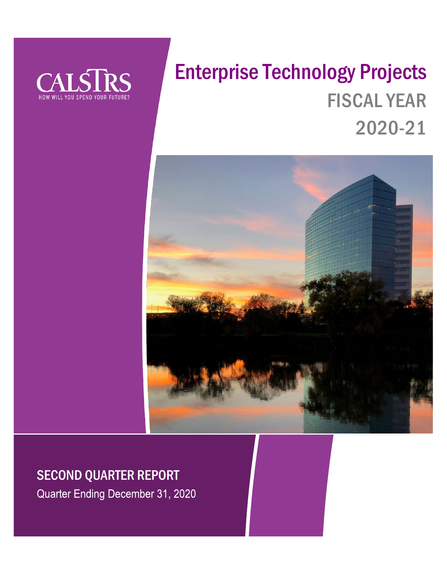

# Enterprise Technology Projects FISCAL YEAR 2020-21



# SECOND QUARTER REPORT

Quarter Ending December 31, 2020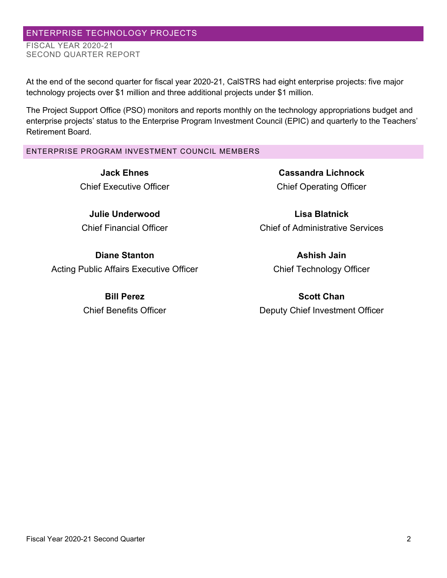# ENTERPRISE TECHNOLOGY PROJECTS

FISCAL YEAR 2020-21 SECOND QUARTER REPORT

At the end of the second quarter for fiscal year 2020-21, CalSTRS had eight enterprise projects: five major technology projects over \$1 million and three additional projects under \$1 million.

The Project Support Office (PSO) monitors and reports monthly on the technology appropriations budget and enterprise projects' status to the Enterprise Program Investment Council (EPIC) and quarterly to the Teachers' Retirement Board.

# ENTERPRISE PROGRAM INVESTMENT COUNCIL MEMBERS

**Jack Ehnes** Chief Executive Officer

**Julie Underwood** Chief Financial Officer

**Diane Stanton** Acting Public Affairs Executive Officer

> **Bill Perez** Chief Benefits Officer

**Cassandra Lichnock** Chief Operating Officer

**Lisa Blatnick** Chief of Administrative Services

> **Ashish Jain** Chief Technology Officer

**Scott Chan** Deputy Chief Investment Officer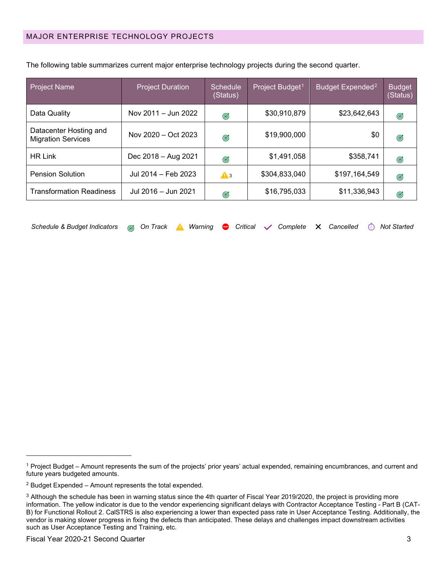| <b>Project Name</b>                                 | <b>Project Duration</b> | <b>Schedule</b><br>(Status) | Project Budget <sup>1</sup> | Budget Expended <sup>2</sup> | <b>Budget</b><br>(Status) |
|-----------------------------------------------------|-------------------------|-----------------------------|-----------------------------|------------------------------|---------------------------|
| Data Quality                                        | Nov 2011 - Jun 2022     | Ø                           | \$30,910,879                | \$23,642,643                 | Ø                         |
| Datacenter Hosting and<br><b>Migration Services</b> | Nov 2020 - Oct 2023     | Ø                           | \$19,900,000                | \$0                          | Ø                         |
| <b>HR Link</b>                                      | Dec 2018 - Aug 2021     | Ø                           | \$1,491,058                 | \$358,741                    | Ø                         |
| <b>Pension Solution</b>                             | Jul 2014 - Feb 2023     | $\mathbf{A}$ 3              | \$304,833,040               | \$197,164,549                | G                         |
| <b>Transformation Readiness</b>                     | Jul 2016 - Jun 2021     | Ø                           | \$16,795,033                | \$11,336,943                 | Ø                         |

The following table summarizes current major enterprise technology projects during the second quarter.

| Schedule & Budget Indicators @ On Track A Warning ● Critical v Complete × Cancelled ① Not Started |  |  |  |  |  |  |  |  |  |  |  |  |
|---------------------------------------------------------------------------------------------------|--|--|--|--|--|--|--|--|--|--|--|--|
|---------------------------------------------------------------------------------------------------|--|--|--|--|--|--|--|--|--|--|--|--|

<span id="page-2-0"></span><sup>1</sup> Project Budget – Amount represents the sum of the projects' prior years' actual expended, remaining encumbrances, and current and future years budgeted amounts.

<span id="page-2-1"></span><sup>2</sup> Budget Expended – Amount represents the total expended.

<span id="page-2-2"></span><sup>&</sup>lt;sup>3</sup> Although the schedule has been in warning status since the 4th quarter of Fiscal Year 2019/2020, the project is providing more information. The yellow indicator is due to the vendor experiencing significant delays with Contractor Acceptance Testing - Part B (CAT-B) for Functional Rollout 2. CalSTRS is also experiencing a lower than expected pass rate in User Acceptance Testing. Additionally, the vendor is making slower progress in fixing the defects than anticipated. These delays and challenges impact downstream activities such as User Acceptance Testing and Training, etc.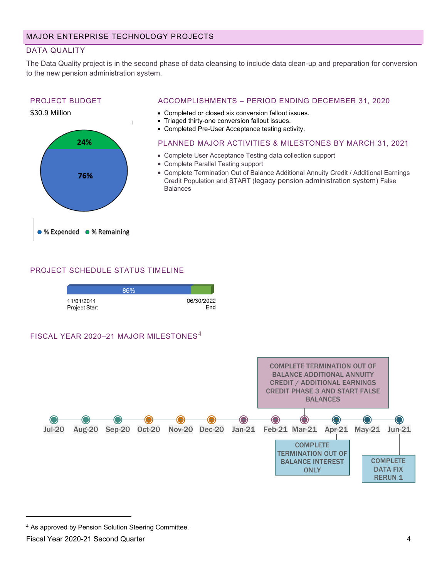# DATA QUALITY

The Data Quality project is in the second phase of data cleansing to include data clean-up and preparation for conversion to the new pension administration system.

# PROJECT BUDGET



#### ACCOMPLISHMENTS – PERIOD ENDING DECEMBER 31, 2020

- Completed or closed six conversion fallout issues.
- Triaged thirty-one conversion fallout issues.
- Completed Pre-User Acceptance testing activity.

#### PLANNED MAJOR ACTIVITIES & MILESTONES BY MARCH 31, 2021

- Complete User Acceptance Testing data collection support
- Complete Parallel Testing support
- Complete Termination Out of Balance Additional Annuity Credit / Additional Earnings Credit Population and START (legacy pension administration system) False Balances

# PROJECT SCHEDULE STATUS TIMELINE



## FISCAL YEAR 2020-21 MAJOR MILESTONES<sup>[4](#page-3-0)</sup>



<span id="page-3-0"></span><sup>4</sup> As approved by Pension Solution Steering Committee.

Fiscal Year 2020-21 Second Quarter 4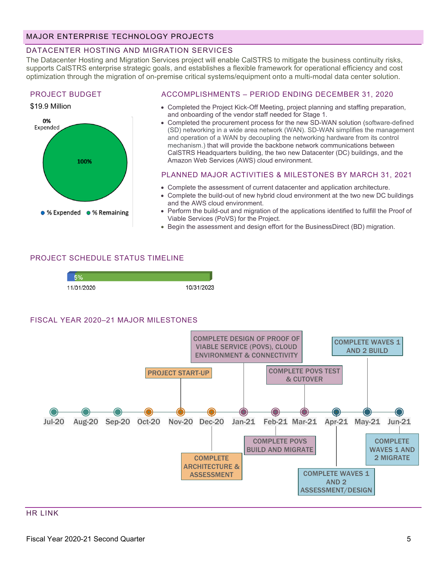# MAJOR ENTERPRISE TECHNOLOGY PROJECTS

### DATACENTER HOSTING AND MIGRATION SERVICES

The Datacenter Hosting and Migration Services project will enable CalSTRS to mitigate the business continuity risks, supports CalSTRS enterprise strategic goals, and establishes a flexible framework for operational efficiency and cost optimization through the migration of on-premise critical systems/equipment onto a multi-modal data center solution.

#### PROJECT BUDGET

#### \$19.9 Million



#### ACCOMPLISHMENTS – PERIOD ENDING DECEMBER 31, 2020

- Completed the Project Kick-Off Meeting, project planning and staffing preparation, and onboarding of the vendor staff needed for Stage 1.
- Completed the procurement process for the new SD-WAN solution (software-defined (SD) networking in a wide area network (WAN). SD-WAN simplifies the management and operation of a WAN by decoupling the networking hardware from its control mechanism.) that will provide the backbone network communications between CalSTRS Headquarters building, the two new Datacenter (DC) buildings, and the Amazon Web Services (AWS) cloud environment.

#### PLANNED MAJOR ACTIVITIES & MILESTONES BY MARCH 31, 2021

- Complete the assessment of current datacenter and application architecture.
- Complete the build-out of new hybrid cloud environment at the two new DC buildings and the AWS cloud environment.
- Perform the build-out and migration of the applications identified to fulfill the Proof of Viable Services (PoVS) for the Project.
- Begin the assessment and design effort for the BusinessDirect (BD) migration.

## PROJECT SCHEDULE STATUS TIMELINE



#### FISCAL YEAR 2020–21 MAJOR MILESTONES



#### HR LINK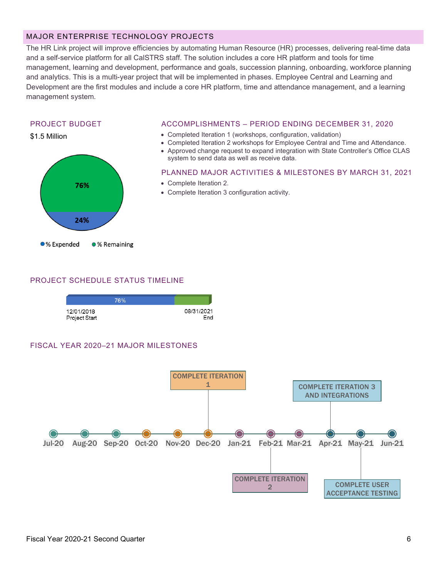# MAJOR ENTERPRISE TECHNOLOGY PROJECTS

The HR Link project will improve efficiencies by automating Human Resource (HR) processes, delivering real-time data and a self-service platform for all CalSTRS staff. The solution includes a core HR platform and tools for time management, learning and development, performance and goals, succession planning, onboarding, workforce planning and analytics. This is a multi-year project that will be implemented in phases. Employee Central and Learning and Development are the first modules and include a core HR platform, time and attendance management, and a learning management system.

## PROJECT BUDGET



#### ACCOMPLISHMENTS – PERIOD ENDING DECEMBER 31, 2020

- Completed Iteration 1 (workshops, configuration, validation)
- Completed Iteration 2 workshops for Employee Central and Time and Attendance.
- Approved change request to expand integration with State Controller's Office CLAS system to send data as well as receive data.

#### PLANNED MAJOR ACTIVITIES & MILESTONES BY MARCH 31, 2021

- Complete Iteration 2.
- Complete Iteration 3 configuration activity.

#### PROJECT SCHEDULE STATUS TIMELINE

|                             | 76% |                   |
|-----------------------------|-----|-------------------|
| 12/01/2018<br>Project Start |     | 08/31/2021<br>Fnd |

## FISCAL YEAR 2020–21 MAJOR MILESTONES

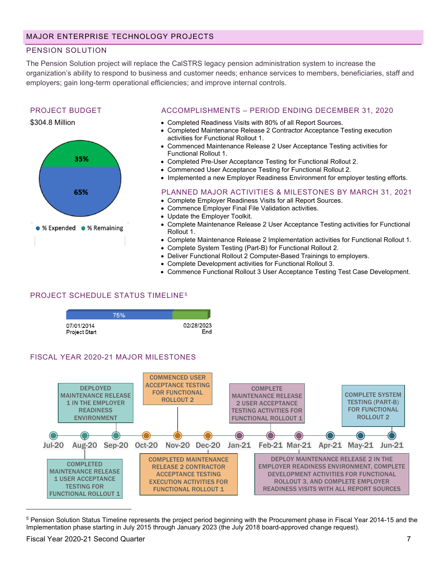# PENSION SOLUTION

The Pension Solution project will replace the CalSTRS legacy pension administration system to increase the organization's ability to respond to business and customer needs; enhance services to members, beneficiaries, staff and employers; gain long-term operational efficiencies; and improve internal controls.

#### PROJECT BUDGET

#### \$304.8 Million



#### ACCOMPLISHMENTS – PERIOD ENDING DECEMBER 31, 2020

- Completed Readiness Visits with 80% of all Report Sources.
- Completed Maintenance Release 2 Contractor Acceptance Testing execution activities for Functional Rollout 1.
- Commenced Maintenance Release 2 User Acceptance Testing activities for Functional Rollout 1.
- Completed Pre-User Acceptance Testing for Functional Rollout 2.
- Commenced User Acceptance Testing for Functional Rollout 2.
- Implemented a new Employer Readiness Environment for employer testing efforts.

# PLANNED MAJOR ACTIVITIES & MILESTONES BY MARCH 31, 2021

- Complete Employer Readiness Visits for all Report Sources.
- Commence Employer Final File Validation activities.
- Update the Employer Toolkit.
- Complete Maintenance Release 2 User Acceptance Testing activities for Functional Rollout 1.
- Complete Maintenance Release 2 Implementation activities for Functional Rollout 1.
- Complete System Testing (Part-B) for Functional Rollout 2.
- Deliver Functional Rollout 2 Computer-Based Trainings to employers.
- Complete Development activities for Functional Rollout 3.
- Commence Functional Rollout 3 User Acceptance Testing Test Case Development.

# PROJECT SCHEDULE STATUS TIMELINE[5](#page-6-0)

|                             | 75% |                   |
|-----------------------------|-----|-------------------|
| 07/01/2014<br>Project Start |     | 02/28/2023<br>End |

# FISCAL YEAR 2020-21 MAJOR MILESTONES



<span id="page-6-0"></span><sup>&</sup>lt;sup>5</sup> Pension Solution Status Timeline represents the project period beginning with the Procurement phase in Fiscal Year 2014-15 and the Implementation phase starting in July 2015 through January 2023 (the July 2018 board-approved change request).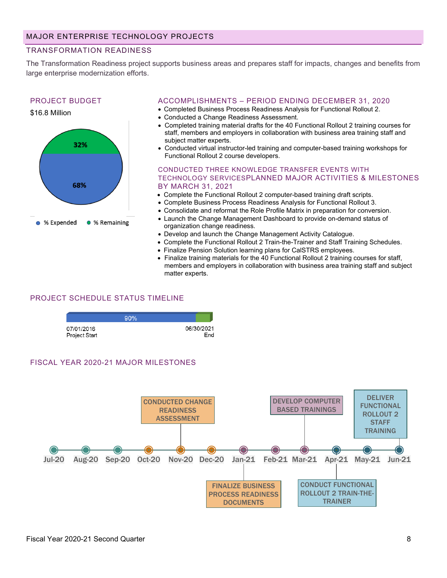## TRANSFORMATION READINESS

The Transformation Readiness project supports business areas and prepares staff for impacts, changes and benefits from large enterprise modernization efforts.

# PROJECT BUDGET

32%

68%

% Expended

\$16.8 Million



- Completed Business Process Readiness Analysis for Functional Rollout 2.
- Conducted a Change Readiness Assessment.
- Completed training material drafts for the 40 Functional Rollout 2 training courses for staff, members and employers in collaboration with business area training staff and subject matter experts.
- Conducted virtual instructor-led training and computer-based training workshops for Functional Rollout 2 course developers.

CONDUCTED THREE KNOWLEDGE TRANSFER EVENTS WITH TECHNOLOGY SERVICESPLANNED MAJOR ACTIVITIES & MILESTONES BY MARCH 31, 2021

- Complete the Functional Rollout 2 computer-based training draft scripts.
- Complete Business Process Readiness Analysis for Functional Rollout 3.
- Consolidate and reformat the Role Profile Matrix in preparation for conversion.
- Launch the Change Management Dashboard to provide on-demand status of organization change readiness.
- Develop and launch the Change Management Activity Catalogue.
- Complete the Functional Rollout 2 Train-the-Trainer and Staff Training Schedules.
- Finalize Pension Solution learning plans for CalSTRS employees.
- Finalize training materials for the 40 Functional Rollout 2 training courses for staff, members and employers in collaboration with business area training staff and subject matter experts.

## PROJECT SCHEDULE STATUS TIMELINE

● % Remaining

|                             | 90% |                   |
|-----------------------------|-----|-------------------|
| 07/01/2016<br>Project Start |     | 06/30/2021<br>Fnd |

#### FISCAL YEAR 2020-21 MAJOR MILESTONES